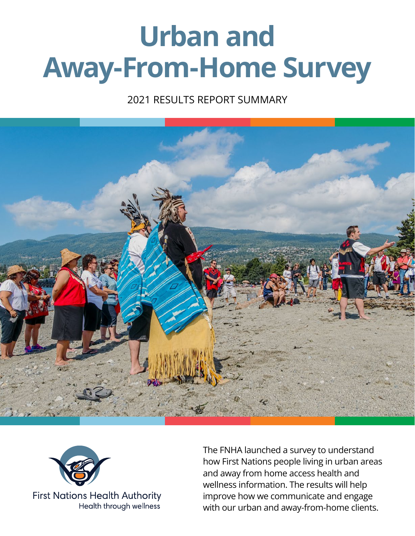# **Urban and Away-From-Home Survey**

## 2021 RESULTS REPORT SUMMARY





**First Nations Health Authority** Health through wellness

The FNHA launched a survey to understand how First Nations people living in urban areas and away from home access health and wellness information. The results will help improve how we communicate and engage with our urban and away-from-home clients.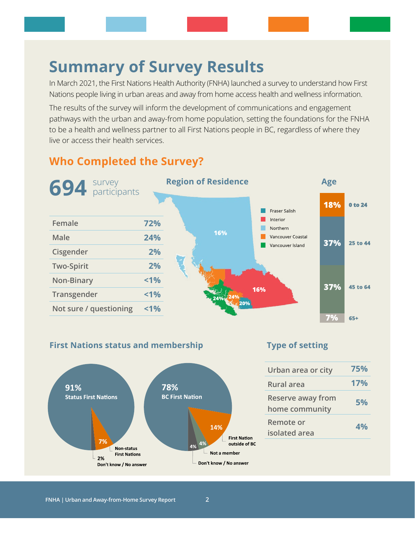# **Summary of Survey Results**

In March 2021, the First Nations Health Authority (FNHA) launched a survey to understand how First Nations people living in urban areas and away from home access health and wellness information.

The results of the survey will inform the development of communications and engagement pathways with the urban and away-from home population, setting the foundations for the FNHA to be a health and wellness partner to all First Nations people in BC, regardless of where they live or access their health services.

## **Who Completed the Survey?**



#### **First Nations status and membership**



#### **Type of setting**

| Urban area or city                         | 75% |
|--------------------------------------------|-----|
| <b>Rural area</b>                          | 17% |
| <b>Reserve away from</b><br>home community | 5%  |
| Remote or<br>isolated area                 | 4%  |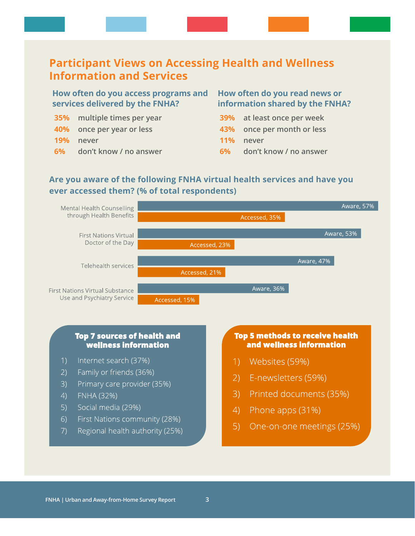### **Participant Views on Accessing Health and Wellness Information and Services**

#### **How often do you access programs and How often do you read news or services delivered by the FNHA?**

- **35% multiple times per year**
- **40% once per year or less**
- **19% never**
- **6% don't know / no answer**

# **information shared by the FNHA?**

- **39% at least once per week**
- **43% once per month or less**
- **11% never**
- **6% don't know / no answer**

#### **Are you aware of the following FNHA virtual health services and have you ever accessed them? (% of total respondents)**



#### **Top 7 sources of health and wellness information**

- Internet search (37%)
- $2)$ Family or friends (36%)
- Primary care provider (35%)  $3)$
- **FNHA (32%)**  $4)$
- Social media (29%)  $5)$
- $6)$ First Nations community (28%)
- Regional health authority (25%)  $7)$

#### Top 5 methods to receive health and wellness information

- Websites (59%)
- 2) E-newsletters (59%)
- 3) Printed documents (35%)
- $4)$ Phone apps (31%)
- $5)$ One-on-one meetings (25%)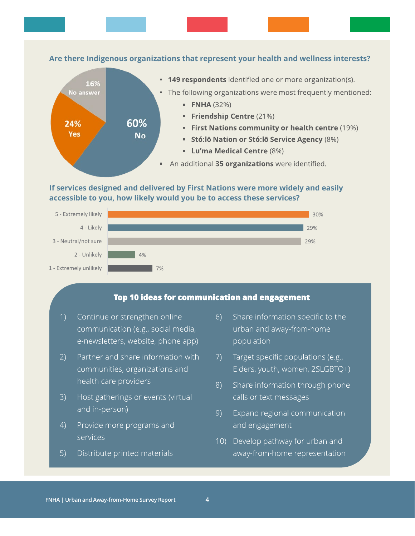

#### If services designed and delivered by First Nations were more widely and easily accessible to you, how likely would you be to access these services?



#### Top 10 ideas for communication and engagement

- Continue or strengthen online communication (e.g., social media, e-newsletters, website, phone app)
- $(2)$ Partner and share information with communities, organizations and health care providers
- Host gatherings or events (virtual  $3)$ and in-person)
- $4)$ Provide more programs and services
- Distribute printed materials  $5)$
- $6)$ Share information specific to the urban and away-from-home population
- Target specific populations (e.g.,  $7)$ Elders, youth, women, 2SLGBTQ+)
- Share information through phone  $8)$ calls or text messages
- Expand regional communication  $9)$ and engagement
- 10) Develop pathway for urban and away-from-home representation